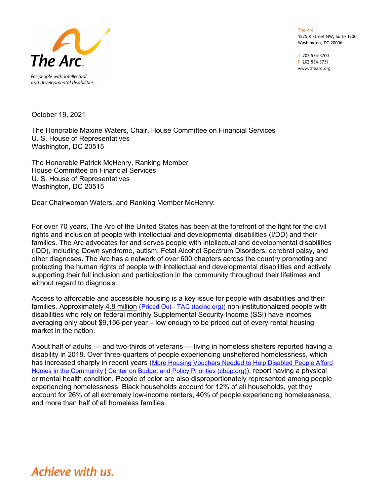The Arc 1825 K Street NW, Suite 1200 Washington, DC 20006

T 202 534-3700 F 202 534-3731 www.thearc.org



October 19, 2021

The Honorable Maxine Waters, Chair, House Committee on Financial Services U. S. House of Representatives Washington, DC 20515

The Honorable Patrick McHenry, Ranking Member House Committee on Financial Services U. S. House of Representatives Washington, DC 20515

Dear Chairwoman Waters, and Ranking Member McHenry:

For over 70 years, The Arc of the United States has been at the forefront of the fight for the civil rights and inclusion of people with intellectual and developmental disabilities (I/DD) and their families. The Arc advocates for and serves people with intellectual and developmental disabilities (IDD), including Down syndrome, autism, Fetal Alcohol Spectrum Disorders, cerebral palsy, and other diagnoses. The Arc has a network of over 600 chapters across the country promoting and protecting the human rights of people with intellectual and developmental disabilities and actively supporting their full inclusion and participation in the community throughout their lifetimes and without regard to diagnosis.

Access to affordable and accessible housing is a key issue for people with disabilities and their families. Approximately 4.8 million (Priced Out - TAC (tacinc.org)) non-institutionalized people with disabilities who rely on federal monthly Supplemental Security Income (SSI) have incomes averaging only about \$9,156 per year – low enough to be priced out of every rental housing market in the nation.

About half of adults — and two-thirds of veterans — living in homeless shelters reported having a disability in 2018. Over three-quarters of people experiencing unsheltered homelessness, which has increased sharply in recent years (More Housing Vouchers Needed to Help Disabled People Afford Homes in the Community | Center on Budget and Policy Priorities (cbpp.org)), report having a physical or mental health condition. People of color are also disproportionately represented among people experiencing homelessness. Black households account for 12% of all households, yet they account for 26% of all extremely low-income renters, 40% of people experiencing homelessness, and more than half of all homeless families.

## Achieve with us.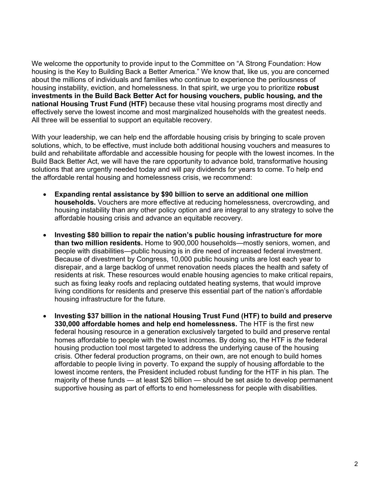We welcome the opportunity to provide input to the Committee on "A Strong Foundation: How housing is the Key to Building Back a Better America." We know that, like us, you are concerned about the millions of individuals and families who continue to experience the perilousness of housing instability, eviction, and homelessness. In that spirit, we urge you to prioritize robust investments in the Build Back Better Act for housing vouchers, public housing, and the national Housing Trust Fund (HTF) because these vital housing programs most directly and effectively serve the lowest income and most marginalized households with the greatest needs. All three will be essential to support an equitable recovery.

With your leadership, we can help end the affordable housing crisis by bringing to scale proven solutions, which, to be effective, must include both additional housing vouchers and measures to build and rehabilitate affordable and accessible housing for people with the lowest incomes. In the Build Back Better Act, we will have the rare opportunity to advance bold, transformative housing solutions that are urgently needed today and will pay dividends for years to come. To help end the affordable rental housing and homelessness crisis, we recommend:

- Expanding rental assistance by \$90 billion to serve an additional one million households. Vouchers are more effective at reducing homelessness, overcrowding, and housing instability than any other policy option and are integral to any strategy to solve the affordable housing crisis and advance an equitable recovery.
- Investing \$80 billion to repair the nation's public housing infrastructure for more than two million residents. Home to 900,000 households—mostly seniors, women, and people with disabilities—public housing is in dire need of increased federal investment. Because of divestment by Congress, 10,000 public housing units are lost each year to disrepair, and a large backlog of unmet renovation needs places the health and safety of residents at risk. These resources would enable housing agencies to make critical repairs, such as fixing leaky roofs and replacing outdated heating systems, that would improve living conditions for residents and preserve this essential part of the nation's affordable housing infrastructure for the future.
- Investing \$37 billion in the national Housing Trust Fund (HTF) to build and preserve 330,000 affordable homes and help end homelessness. The HTF is the first new federal housing resource in a generation exclusively targeted to build and preserve rental homes affordable to people with the lowest incomes. By doing so, the HTF is the federal housing production tool most targeted to address the underlying cause of the housing crisis. Other federal production programs, on their own, are not enough to build homes affordable to people living in poverty. To expand the supply of housing affordable to the lowest income renters, the President included robust funding for the HTF in his plan. The majority of these funds — at least \$26 billion — should be set aside to develop permanent supportive housing as part of efforts to end homelessness for people with disabilities.